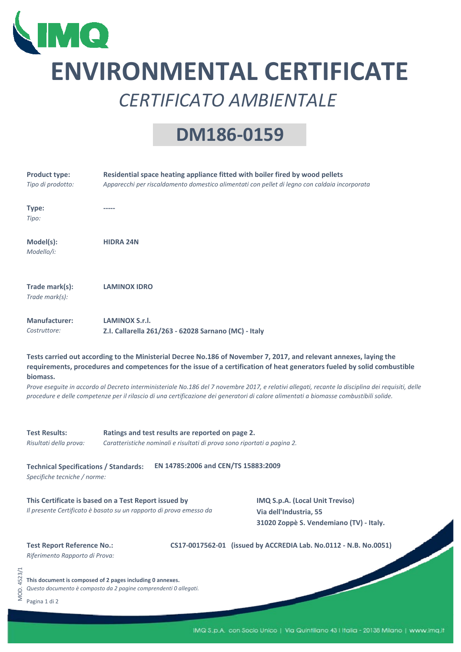

## **ENVIRONMENTAL CERTIFICATE** *CERTIFICATO AMBIENTALE*

## **DM186‐0159**

|             | <b>Product type:</b><br>Tipo di prodotto:                                                                                                                                                                                                                                                                                                                                                                                                                                                                                                                  | Residential space heating appliance fitted with boiler fired by wood pellets<br>Apparecchi per riscaldamento domestico alimentati con pellet di legno con caldaia incorporata                                                      |  |  |  |  |
|-------------|------------------------------------------------------------------------------------------------------------------------------------------------------------------------------------------------------------------------------------------------------------------------------------------------------------------------------------------------------------------------------------------------------------------------------------------------------------------------------------------------------------------------------------------------------------|------------------------------------------------------------------------------------------------------------------------------------------------------------------------------------------------------------------------------------|--|--|--|--|
|             | Type:<br>Tipo:                                                                                                                                                                                                                                                                                                                                                                                                                                                                                                                                             |                                                                                                                                                                                                                                    |  |  |  |  |
|             | Model(s):<br>Modello/i:                                                                                                                                                                                                                                                                                                                                                                                                                                                                                                                                    | <b>HIDRA 24N</b>                                                                                                                                                                                                                   |  |  |  |  |
|             | Trade mark(s):<br>Trade mark(s):                                                                                                                                                                                                                                                                                                                                                                                                                                                                                                                           | <b>LAMINOX IDRO</b>                                                                                                                                                                                                                |  |  |  |  |
|             | <b>Manufacturer:</b><br>Costruttore:                                                                                                                                                                                                                                                                                                                                                                                                                                                                                                                       | LAMINOX S.r.I.<br>Z.I. Callarella 261/263 - 62028 Sarnano (MC) - Italy                                                                                                                                                             |  |  |  |  |
|             | Tests carried out according to the Ministerial Decree No.186 of November 7, 2017, and relevant annexes, laying the<br>requirements, procedures and competences for the issue of a certification of heat generators fueled by solid combustible<br>biomass.<br>Prove eseguite in accordo al Decreto interministeriale No.186 del 7 novembre 2017, e relativi allegati, recante la disciplina dei requisiti, delle<br>procedure e delle competenze per il rilascio di una certificazione dei generatori di calore alimentati a biomasse combustibili solide. |                                                                                                                                                                                                                                    |  |  |  |  |
|             | <b>Test Results:</b><br>Risultati della prova:                                                                                                                                                                                                                                                                                                                                                                                                                                                                                                             | Ratings and test results are reported on page 2.<br>Caratteristiche nominali e risultati di prova sono riportati a pagina 2.                                                                                                       |  |  |  |  |
|             | EN 14785:2006 and CEN/TS 15883:2009<br><b>Technical Specifications / Standards:</b><br>Specifiche tecniche / norme:                                                                                                                                                                                                                                                                                                                                                                                                                                        |                                                                                                                                                                                                                                    |  |  |  |  |
|             |                                                                                                                                                                                                                                                                                                                                                                                                                                                                                                                                                            | This Certificate is based on a Test Report issued by<br>IMQ S.p.A. (Local Unit Treviso)<br>Il presente Certificato è basato su un rapporto di prova emesso da<br>Via dell'Industria, 55<br>31020 Zoppè S. Vendemiano (TV) - Italy. |  |  |  |  |
|             | <b>Test Report Reference No.:</b><br>Riferimento Rapporto di Prova:                                                                                                                                                                                                                                                                                                                                                                                                                                                                                        | CS17-0017562-01 (issued by ACCREDIA Lab. No.0112 - N.B. No.0051)                                                                                                                                                                   |  |  |  |  |
| MOD. 4523/1 | Pagina 1 di 2                                                                                                                                                                                                                                                                                                                                                                                                                                                                                                                                              | This document is composed of 2 pages including 0 annexes.<br>Questo documento è composto da 2 pagine comprendenti 0 allegati.                                                                                                      |  |  |  |  |